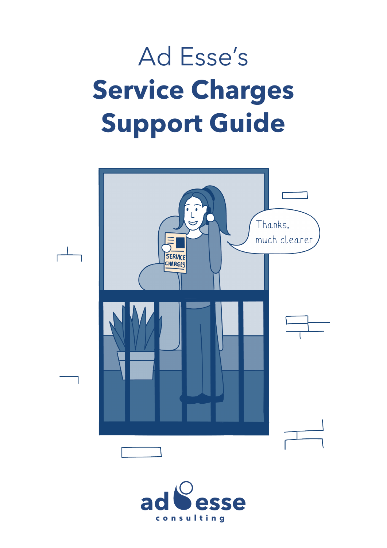# Ad Esse's **Service Charges Support Guide**



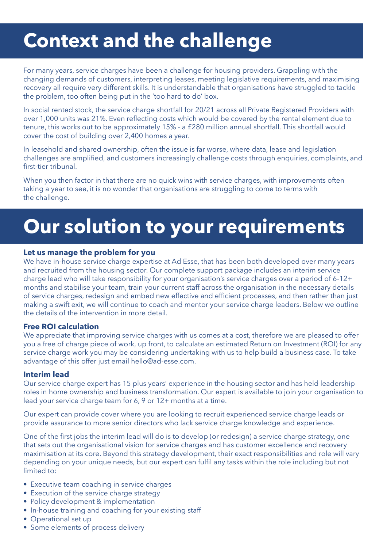### **Context and the challenge**

For many years, service charges have been a challenge for housing providers. Grappling with the changing demands of customers, interpreting leases, meeting legislative requirements, and maximising recovery all require very different skills. It is understandable that organisations have struggled to tackle the problem, too often being put in the 'too hard to do' box.

In social rented stock, the service charge shortfall for 20/21 across all Private Registered Providers with over 1,000 units was 21%. Even reflecting costs which would be covered by the rental element due to tenure, this works out to be approximately 15% - a £280 million annual shortfall. This shortfall would cover the cost of building over 2,400 homes a year.

In leasehold and shared ownership, often the issue is far worse, where data, lease and legislation challenges are amplified, and customers increasingly challenge costs through enquiries, complaints, and first-tier tribunal.

When you then factor in that there are no quick wins with service charges, with improvements often taking a year to see, it is no wonder that organisations are struggling to come to terms with the challenge.

### **Our solution to your requirements**

#### **Let us manage the problem for you**

We have in-house service charge expertise at Ad Esse, that has been both developed over many years and recruited from the housing sector. Our complete support package includes an interim service charge lead who will take responsibility for your organisation's service charges over a period of 6-12+ months and stabilise your team, train your current staff across the organisation in the necessary details of service charges, redesign and embed new effective and efficient processes, and then rather than just making a swift exit, we will continue to coach and mentor your service charge leaders. Below we outline the details of the intervention in more detail.

#### **Free ROI calculation**

We appreciate that improving service charges with us comes at a cost, therefore we are pleased to offer you a free of charge piece of work, up front, to calculate an estimated Return on Investment (ROI) for any service charge work you may be considering undertaking with us to help build a business case. To take advantage of this offer just email hello@ad-esse.com.

#### **Interim lead**

Our service charge expert has 15 plus years' experience in the housing sector and has held leadership roles in home ownership and business transformation. Our expert is available to join your organisation to lead your service charge team for 6, 9 or 12+ months at a time.

Our expert can provide cover where you are looking to recruit experienced service charge leads or provide assurance to more senior directors who lack service charge knowledge and experience.

One of the first jobs the interim lead will do is to develop (or redesign) a service charge strategy, one that sets out the organisational vision for service charges and has customer excellence and recovery maximisation at its core. Beyond this strategy development, their exact responsibilities and role will vary depending on your unique needs, but our expert can fulfil any tasks within the role including but not limited to:

- Executive team coaching in service charges
- Execution of the service charge strategy
- Policy development & implementation
- In-house training and coaching for your existing staff
- Operational set up
- Some elements of process delivery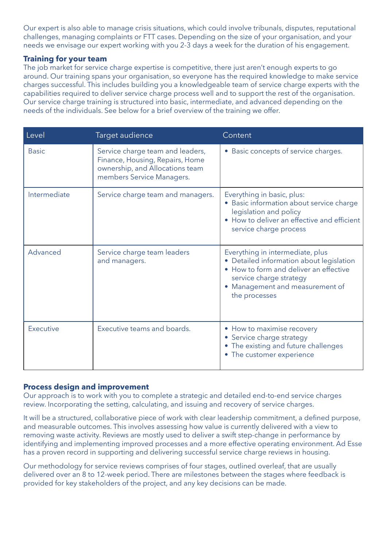Our expert is also able to manage crisis situations, which could involve tribunals, disputes, reputational challenges, managing complaints or FTT cases. Depending on the size of your organisation, and your needs we envisage our expert working with you 2-3 days a week for the duration of his engagement.

#### **Training for your team**

The job market for service charge expertise is competitive, there just aren't enough experts to go around. Our training spans your organisation, so everyone has the required knowledge to make service charges successful. This includes building you a knowledgeable team of service charge experts with the capabilities required to deliver service charge process well and to support the rest of the organisation. Our service charge training is structured into basic, intermediate, and advanced depending on the needs of the individuals. See below for a brief overview of the training we offer.

| Level        | Target audience                                                                                                                     | Content                                                                                                                                                                                           |
|--------------|-------------------------------------------------------------------------------------------------------------------------------------|---------------------------------------------------------------------------------------------------------------------------------------------------------------------------------------------------|
| <b>Basic</b> | Service charge team and leaders,<br>Finance, Housing, Repairs, Home<br>ownership, and Allocations team<br>members Service Managers. | • Basic concepts of service charges.                                                                                                                                                              |
| Intermediate | Service charge team and managers.                                                                                                   | Everything in basic, plus:<br>Basic information about service charge<br>legislation and policy<br>• How to deliver an effective and efficient<br>service charge process                           |
| Advanced     | Service charge team leaders<br>and managers.                                                                                        | Everything in intermediate, plus<br>• Detailed information about legislation<br>How to form and deliver an effective<br>service charge strategy<br>Management and measurement of<br>the processes |
| Executive    | Executive teams and boards.                                                                                                         | • How to maximise recovery<br>• Service charge strategy<br>The existing and future challenges<br>$\bullet$<br>The customer experience                                                             |

#### **Process design and improvement**

Our approach is to work with you to complete a strategic and detailed end-to-end service charges review. Incorporating the setting, calculating, and issuing and recovery of service charges.

It will be a structured, collaborative piece of work with clear leadership commitment, a defined purpose, and measurable outcomes. This involves assessing how value is currently delivered with a view to removing waste activity. Reviews are mostly used to deliver a swift step-change in performance by identifying and implementing improved processes and a more effective operating environment. Ad Esse has a proven record in supporting and delivering successful service charge reviews in housing.

Our methodology for service reviews comprises of four stages, outlined overleaf, that are usually delivered over an 8 to 12-week period. There are milestones between the stages where feedback is provided for key stakeholders of the project, and any key decisions can be made.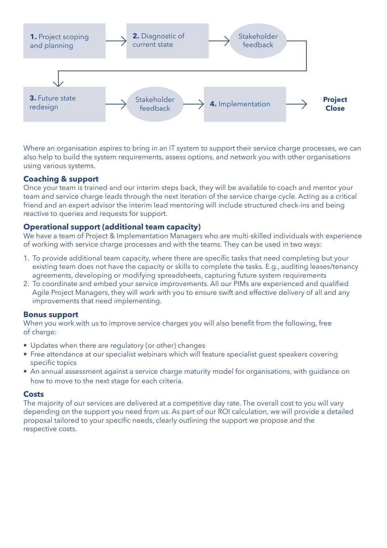

Where an organisation aspires to bring in an IT system to support their service charge processes, we can also help to build the system requirements, assess options, and network you with other organisations using various systems.

#### **Coaching & support**

Once your team is trained and our interim steps back, they will be available to coach and mentor your team and service charge leads through the next iteration of the service charge cycle. Acting as a critical friend and an expert advisor the interim lead mentoring will include structured check-ins and being reactive to queries and requests for support.

#### **Operational support (additional team capacity)**

We have a team of Project & Implementation Managers who are multi-skilled individuals with experience of working with service charge processes and with the teams. They can be used in two ways:

- 1. To provide additional team capacity, where there are specific tasks that need completing but your existing team does not have the capacity or skills to complete the tasks. E.g., auditing leases/tenancy agreements, developing or modifying spreadsheets, capturing future system requirements
- 2. To coordinate and embed your service improvements. All our PIMs are experienced and qualified Agile Project Managers, they will work with you to ensure swift and effective delivery of all and any improvements that need implementing.

#### **Bonus support**

When you work with us to improve service charges you will also benefit from the following, free of charge:

- Updates when there are regulatory (or other) changes
- Free attendance at our specialist webinars which will feature specialist guest speakers covering specific topics
- An annual assessment against a service charge maturity model for organisations, with guidance on how to move to the next stage for each criteria.

#### **Costs**

The majority of our services are delivered at a competitive day rate. The overall cost to you will vary depending on the support you need from us. As part of our ROI calculation, we will provide a detailed proposal tailored to your specific needs, clearly outlining the support we propose and the respective costs.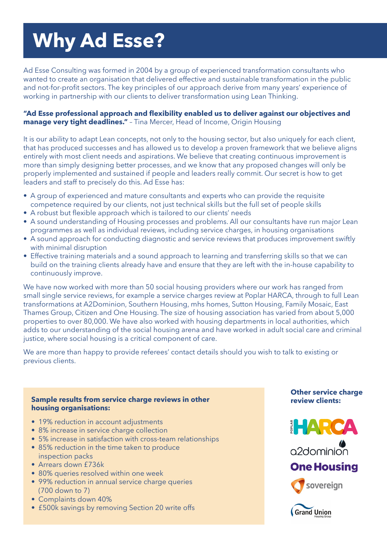## **Why Ad Esse?**

Ad Esse Consulting was formed in 2004 by a group of experienced transformation consultants who wanted to create an organisation that delivered effective and sustainable transformation in the public and not-for-profit sectors. The key principles of our approach derive from many years' experience of working in partnership with our clients to deliver transformation using Lean Thinking.

#### **"Ad Esse professional approach and flexibility enabled us to deliver against our objectives and manage very tight deadlines."** – Tina Mercer, Head of Income, Origin Housing

It is our ability to adapt Lean concepts, not only to the housing sector, but also uniquely for each client, that has produced successes and has allowed us to develop a proven framework that we believe aligns entirely with most client needs and aspirations. We believe that creating continuous improvement is more than simply designing better processes, and we know that any proposed changes will only be properly implemented and sustained if people and leaders really commit. Our secret is how to get leaders and staff to precisely do this. Ad Esse has:

- A group of experienced and mature consultants and experts who can provide the requisite competence required by our clients, not just technical skills but the full set of people skills
- A robust but flexible approach which is tailored to our clients' needs
- A sound understanding of Housing processes and problems. All our consultants have run major Lean programmes as well as individual reviews, including service charges, in housing organisations
- A sound approach for conducting diagnostic and service reviews that produces improvement swiftly with minimal disruption
- Effective training materials and a sound approach to learning and transferring skills so that we can build on the training clients already have and ensure that they are left with the in-house capability to continuously improve.

We have now worked with more than 50 social housing providers where our work has ranged from small single service reviews, for example a service charges review at Poplar HARCA, through to full Lean transformations at A2Dominion, Southern Housing, mhs homes, Sutton Housing, Family Mosaic, East Thames Group, Citizen and One Housing. The size of housing association has varied from about 5,000 properties to over 80,000. We have also worked with housing departments in local authorities, which adds to our understanding of the social housing arena and have worked in adult social care and criminal justice, where social housing is a critical component of care.

We are more than happy to provide referees' contact details should you wish to talk to existing or previous clients.

#### **Sample results from service charge reviews in other housing organisations:**

- 19% reduction in account adjustments
- 8% increase in service charge collection
- 5% increase in satisfaction with cross-team relationships
- 85% reduction in the time taken to produce inspection packs
- Arrears down £736k
- 80% queries resolved within one week
- 99% reduction in annual service charge queries (700 down to 7)
- Complaints down 40%
- £500k savings by removing Section 20 write offs

#### **Other service charge review clients:**



a<sub>2dominion</sub>

### **One Housing**